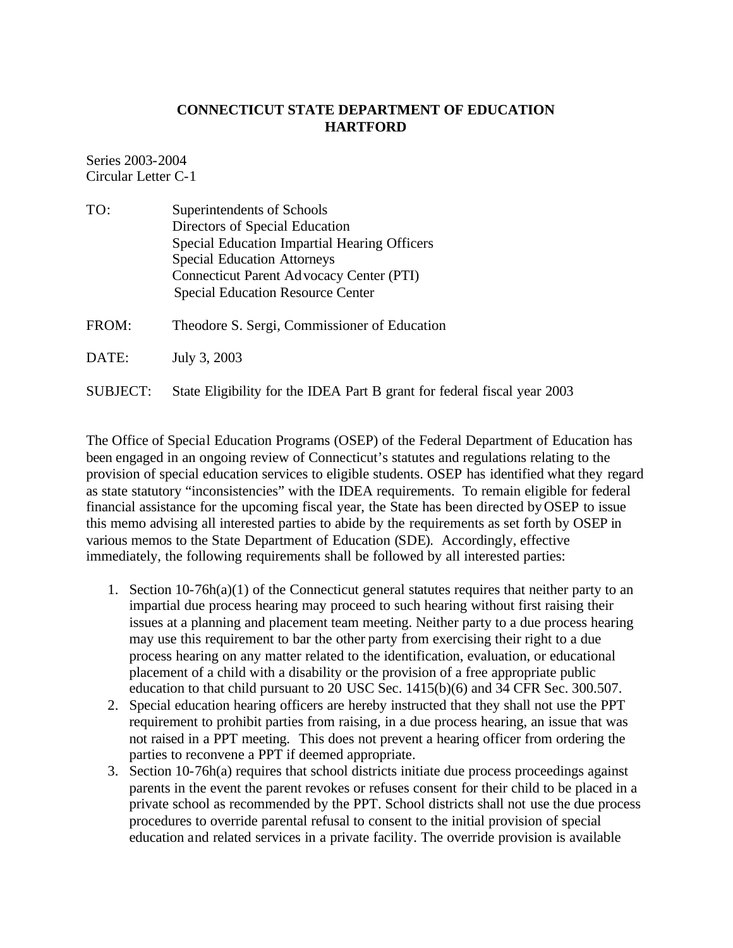## **CONNECTICUT STATE DEPARTMENT OF EDUCATION HARTFORD**

Series 2003-2004 Circular Letter C-1

| TO: | Superintendents of Schools                   |
|-----|----------------------------------------------|
|     | Directors of Special Education               |
|     | Special Education Impartial Hearing Officers |
|     | <b>Special Education Attorneys</b>           |
|     | Connecticut Parent Ad vocacy Center (PTI)    |
|     | <b>Special Education Resource Center</b>     |
|     |                                              |

FROM: Theodore S. Sergi, Commissioner of Education

DATE: July 3, 2003

SUBJECT: State Eligibility for the IDEA Part B grant for federal fiscal year 2003

The Office of Special Education Programs (OSEP) of the Federal Department of Education has been engaged in an ongoing review of Connecticut's statutes and regulations relating to the provision of special education services to eligible students. OSEP has identified what they regard as state statutory "inconsistencies" with the IDEA requirements. To remain eligible for federal financial assistance for the upcoming fiscal year, the State has been directed by OSEP to issue this memo advising all interested parties to abide by the requirements as set forth by OSEP in various memos to the State Department of Education (SDE). Accordingly, effective immediately, the following requirements shall be followed by all interested parties:

- 1. Section  $10\n-76h(a)(1)$  of the Connecticut general statutes requires that neither party to an impartial due process hearing may proceed to such hearing without first raising their issues at a planning and placement team meeting. Neither party to a due process hearing may use this requirement to bar the other party from exercising their right to a due process hearing on any matter related to the identification, evaluation, or educational placement of a child with a disability or the provision of a free appropriate public education to that child pursuant to 20 USC Sec. 1415(b)(6) and 34 CFR Sec. 300.507.
- 2. Special education hearing officers are hereby instructed that they shall not use the PPT requirement to prohibit parties from raising, in a due process hearing, an issue that was not raised in a PPT meeting. This does not prevent a hearing officer from ordering the parties to reconvene a PPT if deemed appropriate.
- 3. Section 10-76h(a) requires that school districts initiate due process proceedings against parents in the event the parent revokes or refuses consent for their child to be placed in a private school as recommended by the PPT. School districts shall not use the due process procedures to override parental refusal to consent to the initial provision of special education and related services in a private facility. The override provision is available